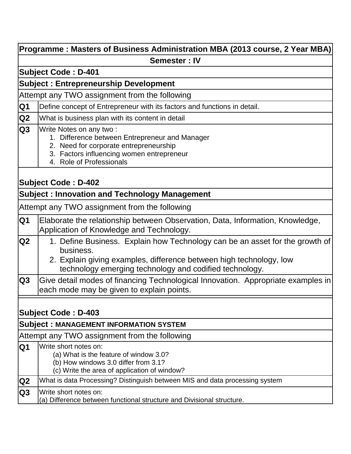|                          | Programme : Masters of Business Administration MBA (2013 course, 2 Year MBA)                                                                                                                                                |
|--------------------------|-----------------------------------------------------------------------------------------------------------------------------------------------------------------------------------------------------------------------------|
|                          | <b>Semester: IV</b>                                                                                                                                                                                                         |
|                          | <b>Subject Code: D-401</b>                                                                                                                                                                                                  |
|                          | <b>Subject: Entrepreneurship Development</b>                                                                                                                                                                                |
|                          | Attempt any TWO assignment from the following                                                                                                                                                                               |
| Q <sub>1</sub>           | Define concept of Entrepreneur with its factors and functions in detail.                                                                                                                                                    |
| Q2                       | What is business plan with its content in detail                                                                                                                                                                            |
| Q3                       | Write Notes on any two:<br>1. Difference between Entrepreneur and Manager<br>2. Need for corporate entrepreneurship<br>3. Factors influencing women entrepreneur<br>4. Role of Professionals                                |
|                          | <b>Subject Code: D-402</b><br><b>Subject: Innovation and Technology Management</b>                                                                                                                                          |
|                          |                                                                                                                                                                                                                             |
|                          | Attempt any TWO assignment from the following                                                                                                                                                                               |
| Q1                       | Elaborate the relationship between Observation, Data, Information, Knowledge,<br>Application of Knowledge and Technology.                                                                                                   |
| $\overline{Q}2$          | 1. Define Business. Explain how Technology can be an asset for the growth of<br>business.<br>2. Explain giving examples, difference between high technology, low<br>technology emerging technology and codified technology. |
| $\overline{\mathsf{Q3}}$ | Give detail modes of financing Technological Innovation. Appropriate examples in<br>each mode may be given to explain points.                                                                                               |
|                          | <b>Subject Code : D-403</b>                                                                                                                                                                                                 |
|                          | <b>Subject: MANAGEMENT INFORMATION SYSTEM</b>                                                                                                                                                                               |
| Q <sub>1</sub>           | Attempt any TWO assignment from the following<br>Write short notes on:                                                                                                                                                      |
|                          | (a) What is the feature of window 3.0?<br>(b) How windows 3.0 differ from 3.1?<br>(c) Write the area of application of window?                                                                                              |
| $\overline{Q}2$          | What is data Processing? Distinguish between MIS and data processing system                                                                                                                                                 |
| Q <sub>3</sub>           | Write short notes on:<br>(a) Difference between functional structure and Divisional structure.                                                                                                                              |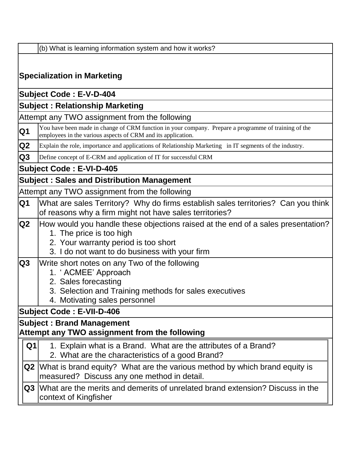|  |  | (b) What is learning information system and how it works? |  |  |
|--|--|-----------------------------------------------------------|--|--|

# **Specialization in Marketing Subject Code : E-V-D-404 Subject : Relationship Marketing** Attempt any TWO assignment from the following **Q1** You have been made in change of CRM function in your company. Prepare a programme of training of the employees in the various aspects of CRM and its application. **Q2** Explain the role, importance and applications of Relationship Marketing in IT segments of the industry. **Q3** Define concept of E-CRM and application of IT for successful CRM **Subject Code : E-VI-D-405 Subject : Sales and Distribution Management** Attempt any TWO assignment from the following **Q1** What are sales Territory? Why do firms establish sales territories? Can you think of reasons why a firm might not have sales territories? **Q2** How would you handle these objections raised at the end of a sales presentation? 1. The price is too high 2. Your warranty period is too short 3. I do not want to do business with your firm **Q3** Write short notes on any Two of the following 1. " ACMEE" Approach 2. Sales forecasting 3. Selection and Training methods for sales executives 4. Motivating sales personnel **Subject Code : E-VII-D-406 Subject : Brand Management Attempt any TWO assignment from the following Q1** 1. Explain what is a Brand. What are the attributes of a Brand? 2. What are the characteristics of a good Brand? **Q2** What is brand equity? What are the various method by which brand equity is measured? Discuss any one method in detail. **Q3** What are the merits and demerits of unrelated brand extension? Discuss in the context of Kingfisher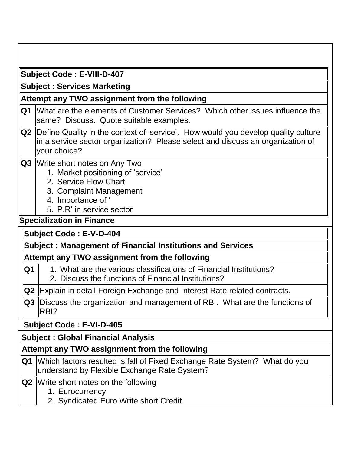|    | <b>Subject Code: E-VIII-D-407</b>                                                                                                                                                   |
|----|-------------------------------------------------------------------------------------------------------------------------------------------------------------------------------------|
|    | <b>Subject: Services Marketing</b>                                                                                                                                                  |
|    | Attempt any TWO assignment from the following                                                                                                                                       |
| Q1 | What are the elements of Customer Services? Which other issues influence the<br>same? Discuss. Quote suitable examples.                                                             |
| Q2 | Define Quality in the context of 'service'. How would you develop quality culture<br>in a service sector organization? Please select and discuss an organization of<br>your choice? |
| Q3 | Write short notes on Any Two<br>1. Market positioning of 'service'<br>2. Service Flow Chart<br>3. Complaint Management<br>4. Importance of '<br>5. P.R' in service sector           |
|    | <b>Specialization in Finance</b>                                                                                                                                                    |
|    | <b>Subject Code: E-V-D-404</b>                                                                                                                                                      |
|    | <b>Subject: Management of Financial Institutions and Services</b>                                                                                                                   |
|    | Attempt any TWO assignment from the following                                                                                                                                       |
| Q1 | 1. What are the various classifications of Financial Institutions?<br>2. Discuss the functions of Financial Institutions?                                                           |
|    | Q2 Explain in detail Foreign Exchange and Interest Rate related contracts.                                                                                                          |
|    | Q3 Discuss the organization and management of RBI. What are the functions of<br>RBI?                                                                                                |
|    | <b>Subject Code: E-VI-D-405</b>                                                                                                                                                     |
|    | <b>Subject: Global Financial Analysis</b>                                                                                                                                           |
|    | Attempt any TWO assignment from the following                                                                                                                                       |
|    | <b>Q1</b> Which factors resulted is fall of Fixed Exchange Rate System? What do you<br>understand by Flexible Exchange Rate System?                                                 |
|    | <b>Q2</b> Write short notes on the following<br>1. Eurocurrency<br>2. Syndicated Euro Write short Credit                                                                            |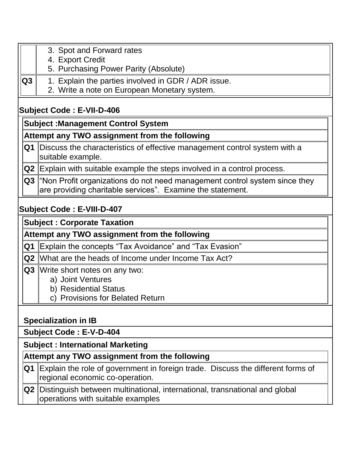- 3. Spot and Forward rates
- 4. Export Credit
- 5. Purchasing Power Parity (Absolute)
- **Q3** 1. Explain the parties involved in GDR / ADR issue.
	- 2. Write a note on European Monetary system.

# **Subject Code : E-VII-D-406**

# **Subject :Management Control System**

# **Attempt any TWO assignment from the following**

**Q1** Discuss the characteristics of effective management control system with a suitable example.

**Q2** Explain with suitable example the steps involved in a control process.

**Q3** "Non Profit organizations do not need management control system since they are providing charitable services". Examine the statement.

# **Subject Code : E-VIII-D-407**

**Subject : Corporate Taxation**

**Attempt any TWO assignment from the following**

**Q1** Explain the concepts "Tax Avoidance" and "Tax Evasion"

**Q2** What are the heads of Income under Income Tax Act?

- **Q3** Write short notes on any two:
	- a) Joint Ventures
	- b) Residential Status
	- c) Provisions for Belated Return

# **Specialization in IB**

### **Subject Code : E-V-D-404**

# **Subject : International Marketing**

### **Attempt any TWO assignment from the following**

| $ Q1 $ Explain the role of government in foreign trade. Discuss the different forms of<br>regional economic co-operation. |
|---------------------------------------------------------------------------------------------------------------------------|
| <b>Q2</b> Distinguish between multinational, international, transnational and global<br>operations with suitable examples |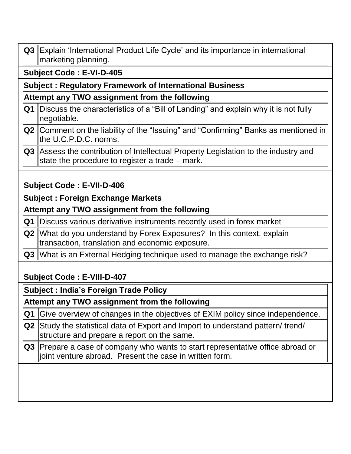| Q3 Explain 'International Product Life Cycle' and its importance in international |
|-----------------------------------------------------------------------------------|
| ∥marketing planning.                                                              |

 **Subject Code : E-VI-D-405**

#### **Subject : Regulatory Framework of International Business**

#### **Attempt any TWO assignment from the following**

- **Q1** Discuss the characteristics of a "Bill of Landing" and explain why it is not fully negotiable.
- **Q2** Comment on the liability of the "Issuing" and "Confirming" Banks as mentioned in the U.C.P.D.C. norms.
- **Q3** Assess the contribution of Intellectual Property Legislation to the industry and state the procedure to register a trade – mark.

## **Subject Code : E-VII-D-406**

#### **Subject : Foreign Exchange Markets**

#### **Attempt any TWO assignment from the following**

- **Q1** Discuss various derivative instruments recently used in forex market
- **Q2** What do you understand by Forex Exposures? In this context, explain transaction, translation and economic exposure.
- **Q3** What is an External Hedging technique used to manage the exchange risk?

# **Subject Code : E-VIII-D-407**

**Subject : India's Foreign Trade Policy**

**Attempt any TWO assignment from the following**

**Q1** Give overview of changes in the objectives of EXIM policy since independence.

**Q2** Study the statistical data of Export and Import to understand pattern/ trend/ structure and prepare a report on the same.

**Q3** Prepare a case of company who wants to start representative office abroad or joint venture abroad. Present the case in written form.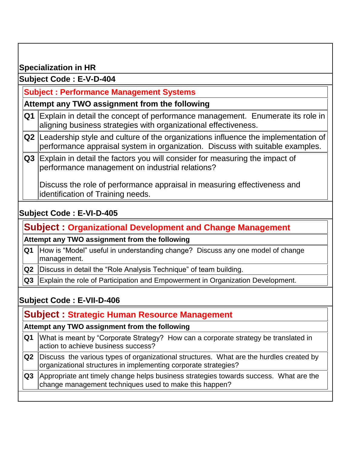## **Specialization in HR**

#### **Subject Code : E-V-D-404**

### **Subject : Performance Management Systems**

#### **Attempt any TWO assignment from the following**

- **Q1** Explain in detail the concept of performance management. Enumerate its role in aligning business strategies with organizational effectiveness.
- **Q2** Leadership style and culture of the organizations influence the implementation of performance appraisal system in organization. Discuss with suitable examples.
- **Q3** Explain in detail the factors you will consider for measuring the impact of performance management on industrial relations?

Discuss the role of performance appraisal in measuring effectiveness and identification of Training needs.

### **Subject Code : E-VI-D-405**

# **Subject : Organizational Development and Change Management**

#### **Attempt any TWO assignment from the following**

- **Q1** How is "Model" useful in understanding change? Discuss any one model of change management.
- **Q2** Discuss in detail the "Role Analysis Technique" of team building.
- **Q3** Explain the role of Participation and Empowerment in Organization Development.

# **Subject Code : E-VII-D-406**

# **Subject : Strategic Human Resource Management**

#### **Attempt any TWO assignment from the following**

- **Q1** What is meant by "Corporate Strategy? How can a corporate strategy be translated in action to achieve business success?
- **Q2** Discuss the various types of organizational structures. What are the hurdles created by organizational structures in implementing corporate strategies?
- **Q3** Appropriate ant timely change helps business strategies towards success. What are the change management techniques used to make this happen?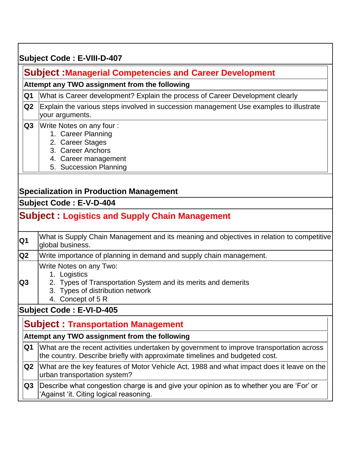## **Subject Code : E-VIII-D-407**

## **Subject :Managerial Competencies and Career Development**

#### **Attempt any TWO assignment from the following**

- **Q1** What is Career development? Explain the process of Career Development clearly
- **Q2** Explain the various steps involved in succession management Use examples to illustrate your arguments.
- **Q3** Write Notes on any four :
	- 1. Career Planning
	- 2. Career Stages
	- 3. Career Anchors
	- 4. Career management
	- 5. Succession Planning

#### **Specialization in Production Management**

#### **Subject Code : E-V-D-404**

# **Subject : Logistics and Supply Chain Management**

| Q <sub>1</sub>  | What is Supply Chain Management and its meaning and objectives in relation to competitive<br>global business.                                                     |
|-----------------|-------------------------------------------------------------------------------------------------------------------------------------------------------------------|
| Q <sub>2</sub>  | Write importance of planning in demand and supply chain management.                                                                                               |
| $\overline{Q}3$ | Write Notes on any Two:<br>1. Logistics<br>2. Types of Transportation System and its merits and demerits<br>3. Types of distribution network<br>4. Concept of 5 R |
|                 | <b>Subject Code: E-VI-D-405</b>                                                                                                                                   |
|                 | <b>Subject: Transportation Management</b><br>Attempt any TWO assignment from the following                                                                        |
|                 | $\Omega$ $\Omega$ $\Omega$ $\Omega$ $\Omega$ are the recent activities undertaken by government to improve transportation across                                  |

- **Q1** What are the recent activities undertaken by government to improve transportation across the country. Describe briefly with approximate timelines and budgeted cost.
- **Q2** What are the key features of Motor Vehicle Act, 1988 and what impact does it leave on the urban transportation system?
- **Q3** Describe what congestion charge is and give your opinion as to whether you are 'For' or "Against "it. Citing logical reasoning.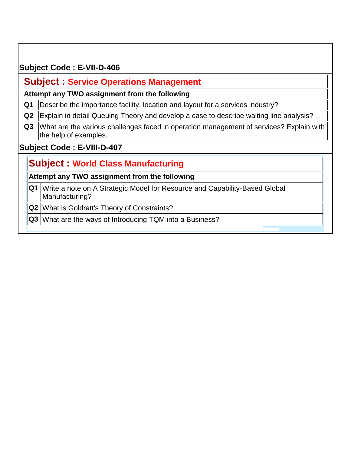## **Subject Code : E-VII-D-406**

## **Subject : Service Operations Management**

#### **Attempt any TWO assignment from the following**

- **Q1** Describe the importance facility, location and layout for a services industry?
- **Q2** Explain in detail Queuing Theory and develop a case to describe waiting line analysis?
- **Q3** What are the various challenges faced in operation management of services? Explain with the help of examples.

#### **Subject Code : E-VIII-D-407**

# **Subject : World Class Manufacturing**

#### **Attempt any TWO assignment from the following**

- **Q1** Write a note on A Strategic Model for Resource and Capability-Based Global Manufacturing?
- **Q2** What is Goldratt's Theory of Constraints?
- **Q3** What are the ways of Introducing TQM into a Business?